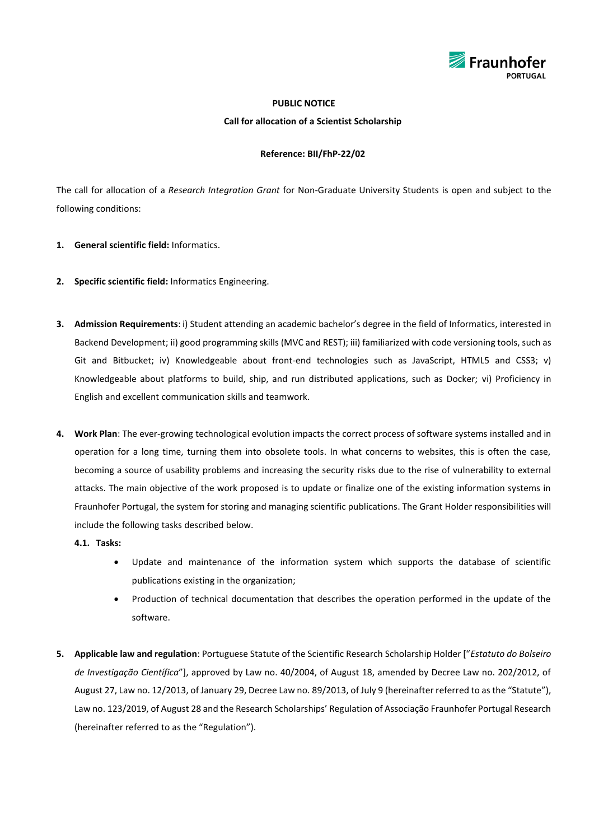

## **PUBLIC NOTICE**

**Call for allocation of a Scientist Scholarship**

## **Reference: BII/FhP-22/02**

The call for allocation of a *Research Integration Grant* for Non-Graduate University Students is open and subject to the following conditions:

- **1. General scientific field:** Informatics.
- **2. Specific scientific field:** Informatics Engineering.
- **3. Admission Requirements**: i) Student attending an academic bachelor's degree in the field of Informatics, interested in Backend Development; ii) good programming skills (MVC and REST); iii) familiarized with code versioning tools, such as Git and Bitbucket; iv) Knowledgeable about front-end technologies such as JavaScript, HTML5 and CSS3; v) Knowledgeable about platforms to build, ship, and run distributed applications, such as Docker; vi) Proficiency in English and excellent communication skills and teamwork.
- **4. Work Plan**: The ever-growing technological evolution impacts the correct process of software systems installed and in operation for a long time, turning them into obsolete tools. In what concerns to websites, this is often the case, becoming a source of usability problems and increasing the security risks due to the rise of vulnerability to external attacks. The main objective of the work proposed is to update or finalize one of the existing information systems in Fraunhofer Portugal, the system for storing and managing scientific publications. The Grant Holder responsibilities will include the following tasks described below.
	- **4.1. Tasks:**
		- Update and maintenance of the information system which supports the database of scientific publications existing in the organization;
		- Production of technical documentation that describes the operation performed in the update of the software.
- **5. Applicable law and regulation**: Portuguese Statute of the Scientific Research Scholarship Holder ["*Estatuto do Bolseiro de Investigação Científica*"], approved by Law no. 40/2004, of August 18, amended by Decree Law no. 202/2012, of August 27, Law no. 12/2013, of January 29, Decree Law no. [89/2013](http://dre.pt/util/getpdf.asp?s=sum&serie=1&iddr=2013.130&iddip=20131202), of July 9 (hereinafter referred to as the "Statute"), Law no. 123/2019, of August 28 and the Research Scholarships' Regulation of Associação Fraunhofer Portugal Research (hereinafter referred to as the "Regulation").